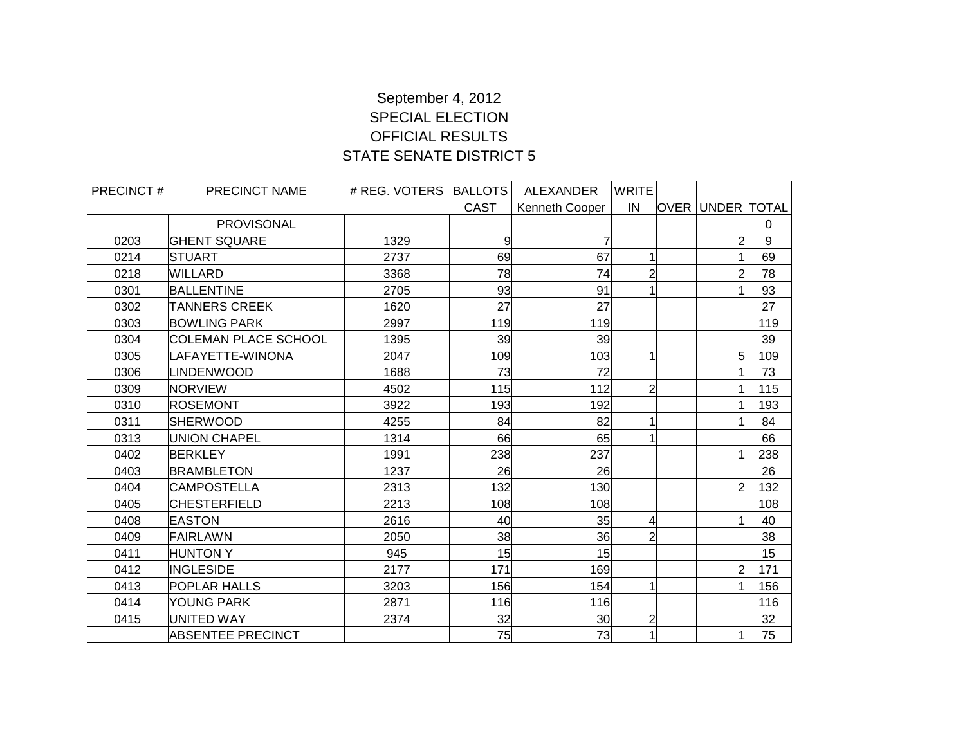## September 4, 2012 SPECIAL ELECTION OFFICIAL RESULTS STATE SENATE DISTRICT 5

| PRECINCT# | PRECINCT NAME               | # REG. VOTERS BALLOTS |             | ALEXANDER      | <b>WRITE</b>            |                         |     |
|-----------|-----------------------------|-----------------------|-------------|----------------|-------------------------|-------------------------|-----|
|           |                             |                       | <b>CAST</b> | Kenneth Cooper | IN                      | <b>OVER UNDER TOTAL</b> |     |
|           | <b>PROVISONAL</b>           |                       |             |                |                         |                         | 0   |
| 0203      | <b>GHENT SQUARE</b>         | 1329                  | 9           | 7              |                         | 2                       | 9   |
| 0214      | <b>STUART</b>               | 2737                  | 69          | 67             | 1                       |                         | 69  |
| 0218      | WILLARD                     | 3368                  | 78          | 74             | $\overline{c}$          | 2                       | 78  |
| 0301      | <b>BALLENTINE</b>           | 2705                  | 93          | 91             | 1                       |                         | 93  |
| 0302      | <b>TANNERS CREEK</b>        | 1620                  | 27          | 27             |                         |                         | 27  |
| 0303      | <b>BOWLING PARK</b>         | 2997                  | 119         | 119            |                         |                         | 119 |
| 0304      | <b>COLEMAN PLACE SCHOOL</b> | 1395                  | 39          | 39             |                         |                         | 39  |
| 0305      | LAFAYETTE-WINONA            | 2047                  | 109         | 103            | 1                       | 5                       | 109 |
| 0306      | LINDENWOOD                  | 1688                  | 73          | 72             |                         |                         | 73  |
| 0309      | <b>NORVIEW</b>              | 4502                  | 115         | 112            | $\overline{a}$          |                         | 115 |
| 0310      | <b>IROSEMONT</b>            | 3922                  | 193         | 192            |                         |                         | 193 |
| 0311      | <b>SHERWOOD</b>             | 4255                  | 84          | 82             | 1                       |                         | 84  |
| 0313      | <b>UNION CHAPEL</b>         | 1314                  | 66          | 65             | 1                       |                         | 66  |
| 0402      | BERKLEY                     | 1991                  | 238         | 237            |                         | 1                       | 238 |
| 0403      | <b>BRAMBLETON</b>           | 1237                  | 26          | 26             |                         |                         | 26  |
| 0404      | <b>CAMPOSTELLA</b>          | 2313                  | 132         | 130            |                         | $\overline{2}$          | 132 |
| 0405      | <b>CHESTERFIELD</b>         | 2213                  | 108         | 108            |                         |                         | 108 |
| 0408      | <b>EASTON</b>               | 2616                  | 40          | 35             | 4                       |                         | 40  |
| 0409      | <b>FAIRLAWN</b>             | 2050                  | 38          | 36             | $\overline{2}$          |                         | 38  |
| 0411      | <b>HUNTONY</b>              | 945                   | 15          | 15             |                         |                         | 15  |
| 0412      | <b>INGLESIDE</b>            | 2177                  | 171         | 169            |                         | 2                       | 171 |
| 0413      | <b>POPLAR HALLS</b>         | 3203                  | 156         | 154            | 1                       | 1                       | 156 |
| 0414      | YOUNG PARK                  | 2871                  | 116         | 116            |                         |                         | 116 |
| 0415      | <b>UNITED WAY</b>           | 2374                  | 32          | 30             | $\overline{\mathbf{c}}$ |                         | 32  |
|           | <b>ABSENTEE PRECINCT</b>    |                       | 75          | 73             | $\mathbf{1}$            | $\mathbf{1}$            | 75  |